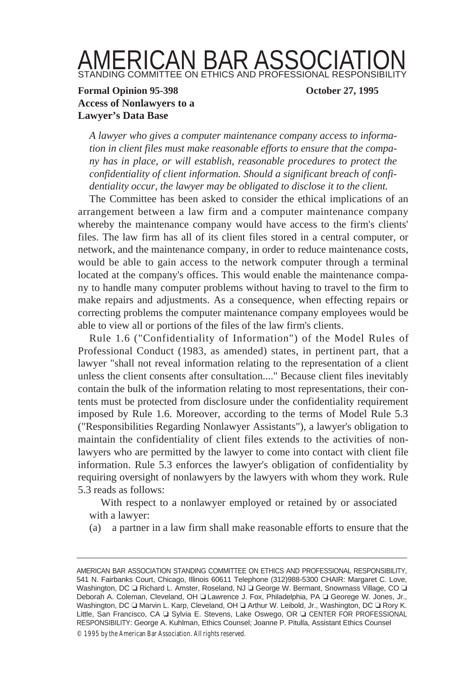## AMERICAN BAR ASSOCIATION STANDING COMMITTEE ON ETHICS AND PROFESSIONAL RESPONSIBILITY

## **Formal Opinion 95-398 October 27, 1995 Access of Nonlawyers to a Lawyer's Data Base**

*A lawyer who gives a computer maintenance company access to information in client files must make reasonable efforts to ensure that the company has in place, or will establish, reasonable procedures to protect the confidentiality of client information. Should a significant breach of confidentiality occur, the lawyer may be obligated to disclose it to the client.*

The Committee has been asked to consider the ethical implications of an arrangement between a law firm and a computer maintenance company whereby the maintenance company would have access to the firm's clients' files. The law firm has all of its client files stored in a central computer, or network, and the maintenance company, in order to reduce maintenance costs, would be able to gain access to the network computer through a terminal located at the company's offices. This would enable the maintenance company to handle many computer problems without having to travel to the firm to make repairs and adjustments. As a consequence, when effecting repairs or correcting problems the computer maintenance company employees would be able to view all or portions of the files of the law firm's clients.

Rule 1.6 ("Confidentiality of Information") of the Model Rules of Professional Conduct (1983, as amended) states, in pertinent part, that a lawyer "shall not reveal information relating to the representation of a client unless the client consents after consultation...." Because client files inevitably contain the bulk of the information relating to most representations, their contents must be protected from disclosure under the confidentiality requirement imposed by Rule 1.6. Moreover, according to the terms of Model Rule 5.3 ("Responsibilities Regarding Nonlawyer Assistants"), a lawyer's obligation to maintain the confidentiality of client files extends to the activities of nonlawyers who are permitted by the lawyer to come into contact with client file information. Rule 5.3 enforces the lawyer's obligation of confidentiality by requiring oversight of nonlawyers by the lawyers with whom they work. Rule 5.3 reads as follows:

With respect to a nonlawyer employed or retained by or associated with a lawyer:

(a) a partner in a law firm shall make reasonable efforts to ensure that the

AMERICAN BAR ASSOCIATION STANDING COMMITTEE ON ETHICS AND PROFESSIONAL RESPONSIBILITY, 541 N. Fairbanks Court, Chicago, Illinois 60611 Telephone (312)988-5300 CHAIR: Margaret C. Love, Washington, DC ❏ Richard L. Amster, Roseland, NJ ❏ George W. Bermant, Snowmass Village, CO ❏ Deborah A. Coleman, Cleveland, OH ❏ Lawrence J. Fox, Philadelphia, PA ❏ Georege W. Jones, Jr., Washington, DC ❏ Marvin L. Karp, Cleveland, OH ❏ Arthur W. Leibold, Jr., Washington, DC ❏ Rory K. Little, San Francisco, CA ❏ Sylvia E. Stevens, Lake Oswego, OR ❏ CENTER FOR PROFESSIONAL RESPONSIBILITY: George A. Kuhlman, Ethics Counsel; Joanne P. Pitulla, Assistant Ethics Counsel

<sup>©</sup> 1995 by the American Bar Association. All rights reserved.